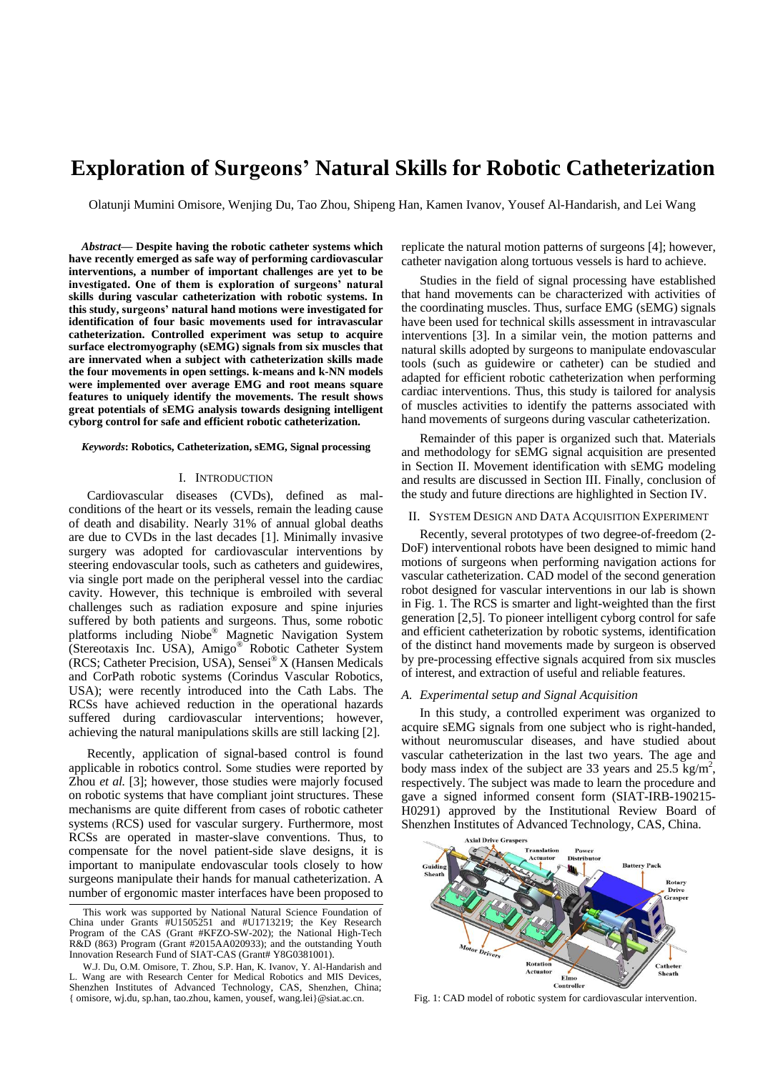# **Exploration of Surgeons' Natural Skills for Robotic Catheterization**

Olatunji Mumini Omisore, Wenjing Du, Tao Zhou, Shipeng Han, Kamen Ivanov, Yousef Al-Handarish, and Lei Wang

*Abstract***— Despite having the robotic catheter systems which have recently emerged as safe way of performing cardiovascular interventions, a number of important challenges are yet to be investigated. One of them is exploration of surgeons' natural skills during vascular catheterization with robotic systems. In this study, surgeons' natural hand motions were investigated for identification of four basic movements used for intravascular catheterization. Controlled experiment was setup to acquire surface electromyography (sEMG) signals from six muscles that are innervated when a subject with catheterization skills made the four movements in open settings. k-means and k-NN models were implemented over average EMG and root means square features to uniquely identify the movements. The result shows great potentials of sEMG analysis towards designing intelligent cyborg control for safe and efficient robotic catheterization.**

#### *Keywords***: Robotics, Catheterization, sEMG, Signal processing**

## I. INTRODUCTION

Cardiovascular diseases (CVDs), defined as malconditions of the heart or its vessels, remain the leading cause of death and disability. Nearly 31% of annual global deaths are due to CVDs in the last decades [1]. Minimally invasive surgery was adopted for cardiovascular interventions by steering endovascular tools, such as catheters and guidewires, via single port made on the peripheral vessel into the cardiac cavity. However, this technique is embroiled with several challenges such as radiation exposure and spine injuries suffered by both patients and surgeons. Thus, some robotic platforms including Niobe® Magnetic Navigation System (Stereotaxis Inc. USA), Amigo® Robotic Catheter System (RCS; Catheter Precision, USA), Sensei® X (Hansen Medicals and CorPath robotic systems (Corindus Vascular Robotics, USA); were recently introduced into the Cath Labs. The RCSs have achieved reduction in the operational hazards suffered during cardiovascular interventions; however, achieving the natural manipulations skills are still lacking [2].

Recently, application of signal-based control is found applicable in robotics control. Some studies were reported by Zhou *et al.* [3]; however, those studies were majorly focused on robotic systems that have compliant joint structures. These mechanisms are quite different from cases of robotic catheter systems (RCS) used for vascular surgery. Furthermore, most RCSs are operated in master-slave conventions. Thus, to compensate for the novel patient-side slave designs, it is important to manipulate endovascular tools closely to how surgeons manipulate their hands for manual catheterization. A number of ergonomic master interfaces have been proposed to

replicate the natural motion patterns of surgeons [4]; however, catheter navigation along tortuous vessels is hard to achieve.

Studies in the field of signal processing have established that hand movements can be characterized with activities of the coordinating muscles. Thus, surface EMG (sEMG) signals have been used for technical skills assessment in intravascular interventions [3]. In a similar vein, the motion patterns and natural skills adopted by surgeons to manipulate endovascular tools (such as guidewire or catheter) can be studied and adapted for efficient robotic catheterization when performing cardiac interventions. Thus, this study is tailored for analysis of muscles activities to identify the patterns associated with hand movements of surgeons during vascular catheterization.

Remainder of this paper is organized such that. Materials and methodology for sEMG signal acquisition are presented in Section II. Movement identification with sEMG modeling and results are discussed in Section III. Finally, conclusion of the study and future directions are highlighted in Section IV.

### II. SYSTEM DESIGN AND DATA ACQUISITION EXPERIMENT

Recently, several prototypes of two degree-of-freedom (2- DoF) interventional robots have been designed to mimic hand motions of surgeons when performing navigation actions for vascular catheterization. CAD model of the second generation robot designed for vascular interventions in our lab is shown in Fig. 1. The RCS is smarter and light-weighted than the first generation [2,5]. To pioneer intelligent cyborg control for safe and efficient catheterization by robotic systems, identification of the distinct hand movements made by surgeon is observed by pre-processing effective signals acquired from six muscles of interest, and extraction of useful and reliable features.

#### *A. Experimental setup and Signal Acquisition*

In this study, a controlled experiment was organized to acquire sEMG signals from one subject who is right-handed, without neuromuscular diseases, and have studied about vascular catheterization in the last two years. The age and body mass index of the subject are 33 years and  $25.5 \text{ kg/m}^2$ , respectively. The subject was made to learn the procedure and gave a signed informed consent form (SIAT-IRB-190215- H0291) approved by the Institutional Review Board of Shenzhen Institutes of Advanced Technology, CAS, China.



This work was supported by National Natural Science Foundation of China under Grants #U1505251 and #U1713219; the Key Research Program of the CAS (Grant #KFZO-SW-202); the National High-Tech R&D (863) Program (Grant #2015AA020933); and the outstanding Youth Innovation Research Fund of SIAT-CAS (Grant# Y8G0381001).

W.J. Du, O.M. Omisore, T. Zhou, S.P. Han, K. Ivanov, Y. Al-Handarish and L. Wang are with Research Center for Medical Robotics and MIS Devices, Shenzhen Institutes of Advanced Technology, CAS, Shenzhen, China; { omisore, wj.du, sp.han, tao.zhou, kamen, yousef, wang.lei}@siat.ac.cn. Fig. 1: CAD model of robotic system for cardiovascular intervention.